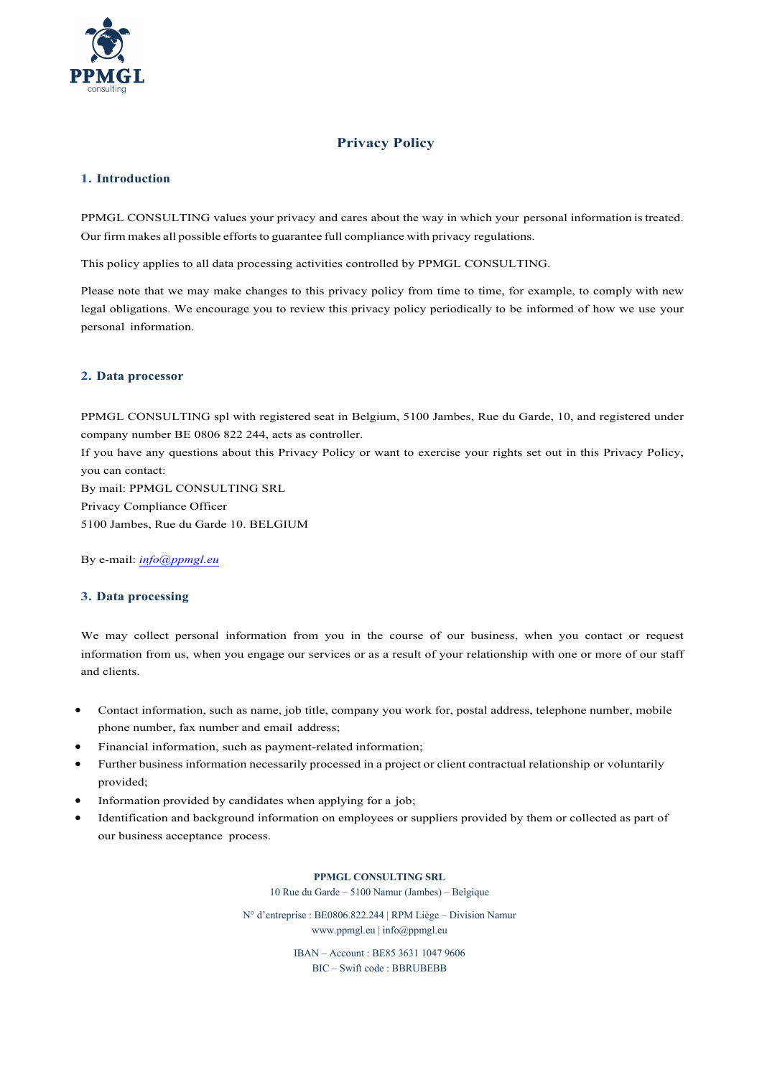

# **Privacy Policy**

# **1. Introduction**

PPMGL CONSULTING values your privacy and cares about the way in which your personal information istreated. Our firm makes all possible efforts to guarantee full compliance with privacy regulations.

This policy applies to all data processing activities controlled by PPMGL CONSULTING.

Please note that we may make changes to this privacy policy from time to time, for example, to comply with new legal obligations. We encourage you to review this privacy policy periodically to be informed of how we use your personal information.

## **2. Data processor**

PPMGL CONSULTING spl with registered seat in Belgium, 5100 Jambes, Rue du Garde, 10, and registered under company number BE 0806 822 244, acts as controller.

If you have any questions about this Privacy Policy or want to exercise your rights set out in this Privacy Policy, you can contact:

By mail: PPMGL CONSULTING SRL Privacy Compliance Officer 5100 Jambes, Rue du Garde 10. BELGIUM

By e-mail: *info@ppmgl.eu*

# **3. Data processing**

We may collect personal information from you in the course of our business, when you contact or request information from us, when you engage our services or as a result of your relationship with one or more of our staff and clients.

- Contact information, such as name, job title, company you work for, postal address, telephone number, mobile phone number, fax number and email address;
- Financial information, such as payment-related information;
- Further business information necessarily processed in a project or client contractual relationship or voluntarily provided;
- Information provided by candidates when applying for a job;
- Identification and background information on employees or suppliers provided by them or collected as part of our business acceptance process.

#### **PPMGL CONSULTING SRL**

10 Rue du Garde – 5100 Namur (Jambes) – Belgique

N° d'entreprise : BE0806.822.244 | RPM Liège – Division Namur www.ppmgl.eu | info@ppmgl.eu

> IBAN – Account : BE85 3631 1047 9606 BIC – Swift code : BBRUBEBB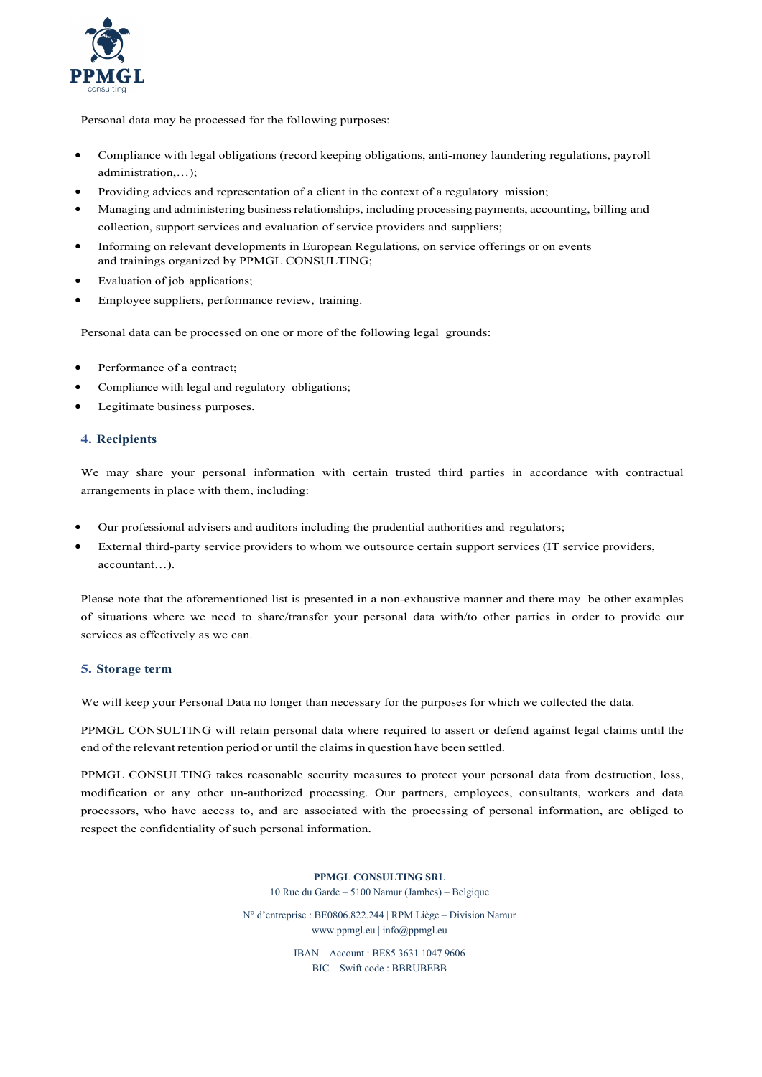

Personal data may be processed for the following purposes:

- Compliance with legal obligations (record keeping obligations, anti-money laundering regulations, payroll administration,…);
- Providing advices and representation of a client in the context of a regulatory mission;
- Managing and administering business relationships, including processing payments, accounting, billing and collection, support services and evaluation of service providers and suppliers;
- Informing on relevant developments in European Regulations, on service offerings or on events and trainings organized by PPMGL CONSULTING;
- Evaluation of job applications;
- Employee suppliers, performance review, training.

Personal data can be processed on one or more of the following legal grounds:

- Performance of a contract;
- Compliance with legal and regulatory obligations;
- Legitimate business purposes.

## **4. Recipients**

We may share your personal information with certain trusted third parties in accordance with contractual arrangements in place with them, including:

- Our professional advisers and auditors including the prudential authorities and regulators;
- External third-party service providers to whom we outsource certain support services (IT service providers, accountant…).

Please note that the aforementioned list is presented in a non-exhaustive manner and there may be other examples of situations where we need to share/transfer your personal data with/to other parties in order to provide our services as effectively as we can.

## **5. Storage term**

We will keep your Personal Data no longer than necessary for the purposes for which we collected the data.

PPMGL CONSULTING will retain personal data where required to assert or defend against legal claims until the end of the relevant retention period or until the claims in question have been settled.

PPMGL CONSULTING takes reasonable security measures to protect your personal data from destruction, loss, modification or any other un-authorized processing. Our partners, employees, consultants, workers and data processors, who have access to, and are associated with the processing of personal information, are obliged to respect the confidentiality of such personal information.

**PPMGL CONSULTING SRL**

10 Rue du Garde – 5100 Namur (Jambes) – Belgique

N° d'entreprise : BE0806.822.244 | RPM Liège – Division Namur www.ppmgl.eu | info@ppmgl.eu

> IBAN – Account : BE85 3631 1047 9606 BIC – Swift code : BBRUBEBB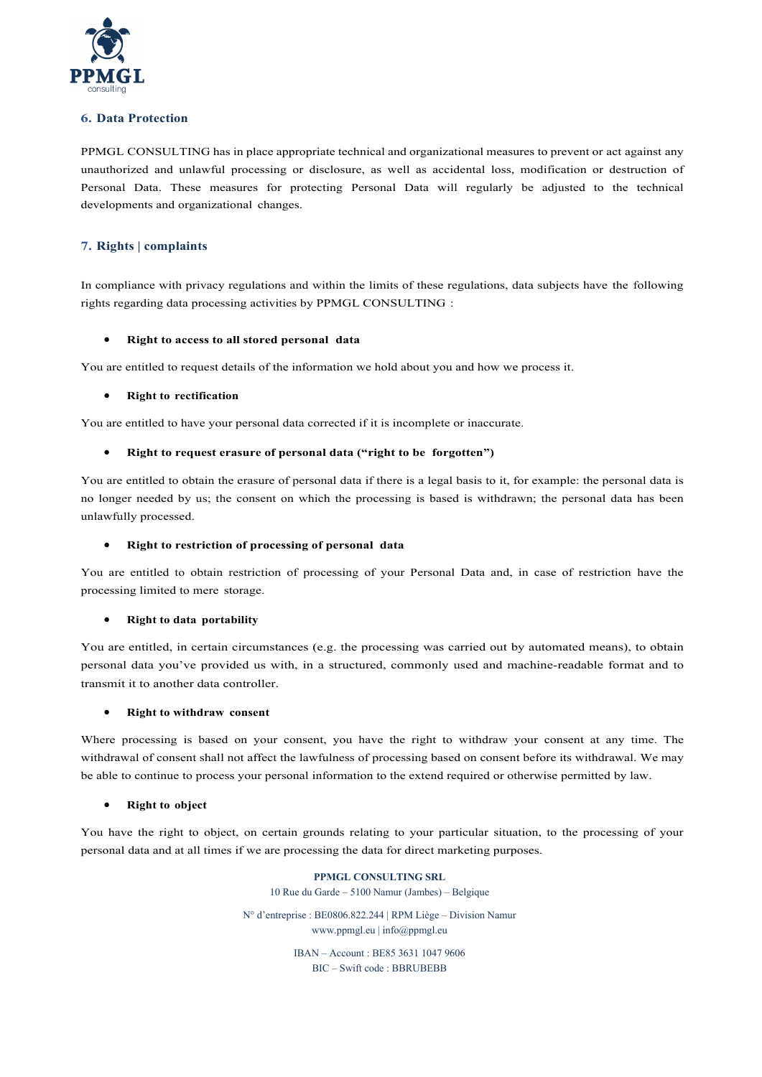

## **6. Data Protection**

PPMGL CONSULTING has in place appropriate technical and organizational measures to prevent or act against any unauthorized and unlawful processing or disclosure, as well as accidental loss, modification or destruction of Personal Data. These measures for protecting Personal Data will regularly be adjusted to the technical developments and organizational changes.

# **7. Rights | complaints**

In compliance with privacy regulations and within the limits of these regulations, data subjects have the following rights regarding data processing activities by PPMGL CONSULTING :

## • **Right to access to all stored personal data**

You are entitled to request details of the information we hold about you and how we process it.

## • **Right to rectification**

You are entitled to have your personal data corrected if it is incomplete or inaccurate.

## • **Right to request erasure of personal data ("right to be forgotten")**

You are entitled to obtain the erasure of personal data if there is a legal basis to it, for example: the personal data is no longer needed by us; the consent on which the processing is based is withdrawn; the personal data has been unlawfully processed.

## • **Right to restriction of processing of personal data**

You are entitled to obtain restriction of processing of your Personal Data and, in case of restriction have the processing limited to mere storage.

#### • **Right to data portability**

You are entitled, in certain circumstances (e.g. the processing was carried out by automated means), to obtain personal data you've provided us with, in a structured, commonly used and machine-readable format and to transmit it to another data controller.

#### • **Right to withdraw consent**

Where processing is based on your consent, you have the right to withdraw your consent at any time. The withdrawal of consent shall not affect the lawfulness of processing based on consent before its withdrawal. We may be able to continue to process your personal information to the extend required or otherwise permitted by law.

#### • **Right to object**

You have the right to object, on certain grounds relating to your particular situation, to the processing of your personal data and at all times if we are processing the data for direct marketing purposes.

> **PPMGL CONSULTING SRL** 10 Rue du Garde – 5100 Namur (Jambes) – Belgique N° d'entreprise : BE0806.822.244 | RPM Liège – Division Namur www.ppmgl.eu | info@ppmgl.eu IBAN – Account : BE85 3631 1047 9606 BIC – Swift code : BBRUBEBB